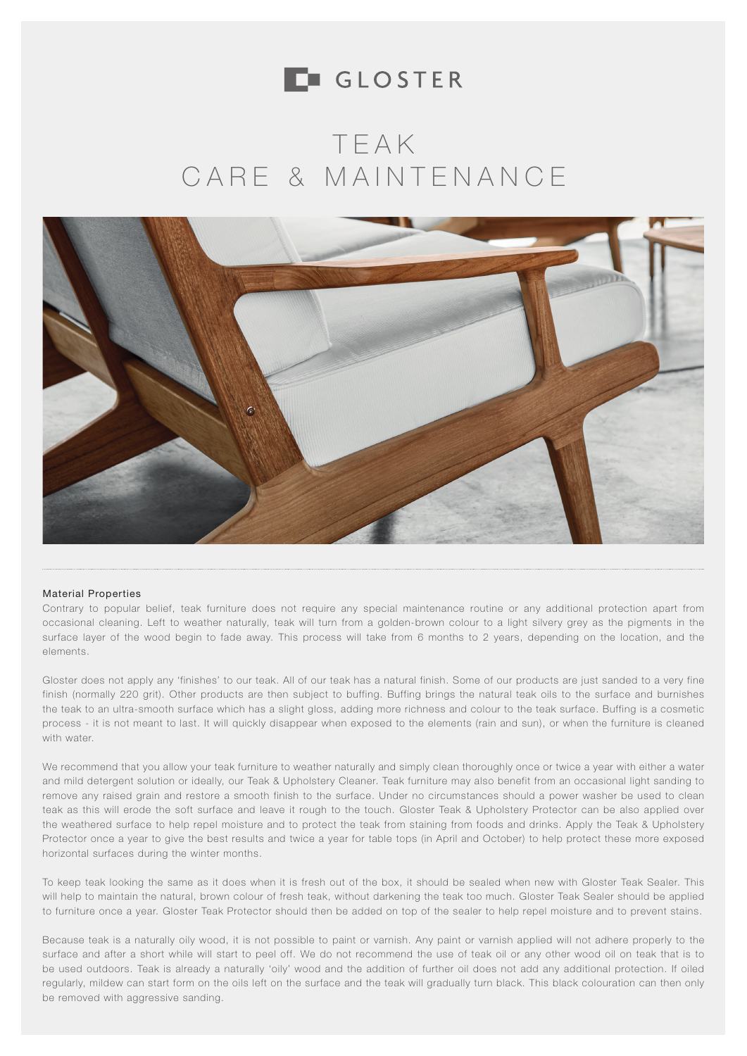

### TEAK CARE & MAINTENANCE



#### Material Properties

Contrary to popular belief, teak furniture does not require any special maintenance routine or any additional protection apart from occasional cleaning. Left to weather naturally, teak will turn from a golden-brown colour to a light silvery grey as the pigments in the surface layer of the wood begin to fade away. This process will take from 6 months to 2 years, depending on the location, and the elements.

Gloster does not apply any 'finishes' to our teak. All of our teak has a natural finish. Some of our products are just sanded to a very fine finish (normally 220 grit). Other products are then subject to buffing. Buffing brings the natural teak oils to the surface and burnishes the teak to an ultra-smooth surface which has a slight gloss, adding more richness and colour to the teak surface. Buffing is a cosmetic process - it is not meant to last. It will quickly disappear when exposed to the elements (rain and sun), or when the furniture is cleaned with water.

We recommend that you allow your teak furniture to weather naturally and simply clean thoroughly once or twice a year with either a water and mild detergent solution or ideally, our Teak & Upholstery Cleaner. Teak furniture may also benefit from an occasional light sanding to remove any raised grain and restore a smooth finish to the surface. Under no circumstances should a power washer be used to clean teak as this will erode the soft surface and leave it rough to the touch. Gloster Teak & Upholstery Protector can be also applied over the weathered surface to help repel moisture and to protect the teak from staining from foods and drinks. Apply the Teak & Upholstery Protector once a year to give the best results and twice a year for table tops (in April and October) to help protect these more exposed horizontal surfaces during the winter months.

To keep teak looking the same as it does when it is fresh out of the box, it should be sealed when new with Gloster Teak Sealer. This will help to maintain the natural, brown colour of fresh teak, without darkening the teak too much. Gloster Teak Sealer should be applied to furniture once a year. Gloster Teak Protector should then be added on top of the sealer to help repel moisture and to prevent stains.

Because teak is a naturally oily wood, it is not possible to paint or varnish. Any paint or varnish applied will not adhere properly to the surface and after a short while will start to peel off. We do not recommend the use of teak oil or any other wood oil on teak that is to be used outdoors. Teak is already a naturally 'oily' wood and the addition of further oil does not add any additional protection. If oiled regularly, mildew can start form on the oils left on the surface and the teak will gradually turn black. This black colouration can then only be removed with aggressive sanding.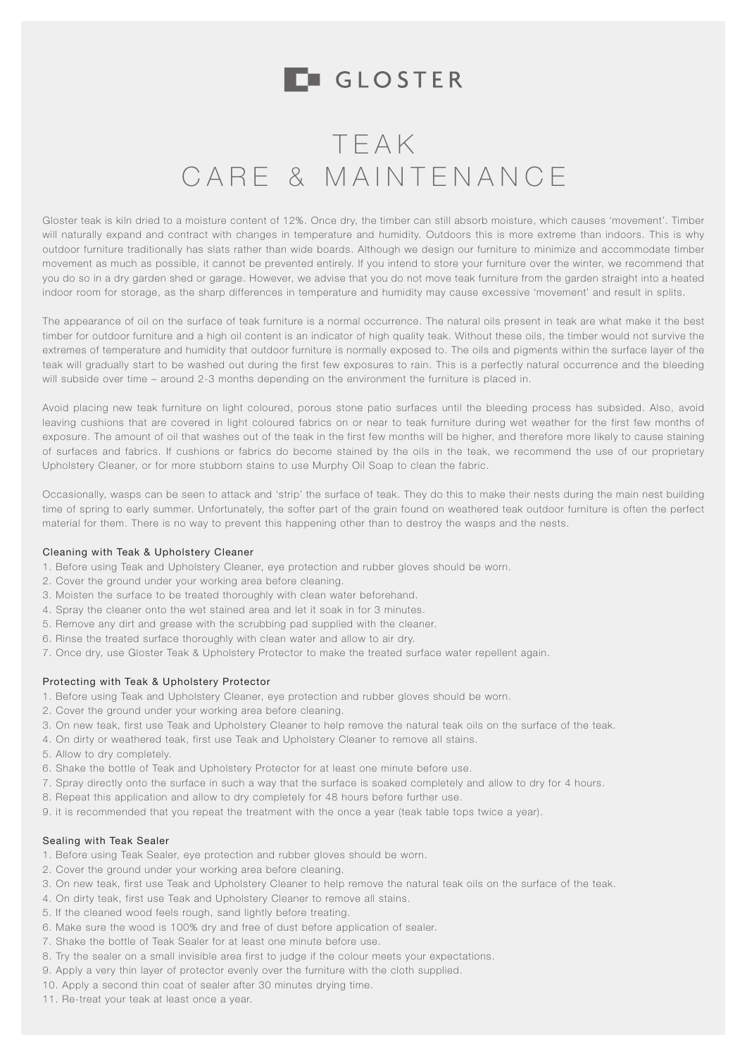# TEAK CARE & MAINTENANCE

Gloster teak is kiln dried to a moisture content of 12%. Once dry, the timber can still absorb moisture, which causes 'movement'. Timber will naturally expand and contract with changes in temperature and humidity. Outdoors this is more extreme than indoors. This is why outdoor furniture traditionally has slats rather than wide boards. Although we design our furniture to minimize and accommodate timber movement as much as possible, it cannot be prevented entirely. If you intend to store your furniture over the winter, we recommend that you do so in a dry garden shed or garage. However, we advise that you do not move teak furniture from the garden straight into a heated indoor room for storage, as the sharp differences in temperature and humidity may cause excessive 'movement' and result in splits.

The appearance of oil on the surface of teak furniture is a normal occurrence. The natural oils present in teak are what make it the best timber for outdoor furniture and a high oil content is an indicator of high quality teak. Without these oils, the timber would not survive the extremes of temperature and humidity that outdoor furniture is normally exposed to. The oils and pigments within the surface layer of the teak will gradually start to be washed out during the first few exposures to rain. This is a perfectly natural occurrence and the bleeding will subside over time – around 2-3 months depending on the environment the furniture is placed in.

Avoid placing new teak furniture on light coloured, porous stone patio surfaces until the bleeding process has subsided. Also, avoid leaving cushions that are covered in light coloured fabrics on or near to teak furniture during wet weather for the first few months of exposure. The amount of oil that washes out of the teak in the first few months will be higher, and therefore more likely to cause staining of surfaces and fabrics. If cushions or fabrics do become stained by the oils in the teak, we recommend the use of our proprietary Upholstery Cleaner, or for more stubborn stains to use Murphy Oil Soap to clean the fabric.

Occasionally, wasps can be seen to attack and 'strip' the surface of teak. They do this to make their nests during the main nest building time of spring to early summer. Unfortunately, the softer part of the grain found on weathered teak outdoor furniture is often the perfect material for them. There is no way to prevent this happening other than to destroy the wasps and the nests.

### Cleaning with Teak & Upholstery Cleaner

- 1. Before using Teak and Upholstery Cleaner, eye protection and rubber gloves should be worn.
- 2. Cover the ground under your working area before cleaning.
- 3. Moisten the surface to be treated thoroughly with clean water beforehand.
- 4. Spray the cleaner onto the wet stained area and let it soak in for 3 minutes.
- 5. Remove any dirt and grease with the scrubbing pad supplied with the cleaner.
- 6. Rinse the treated surface thoroughly with clean water and allow to air dry.
- 7. Once dry, use Gloster Teak & Upholstery Protector to make the treated surface water repellent again.

### Protecting with Teak & Upholstery Protector

- 1. Before using Teak and Upholstery Cleaner, eye protection and rubber gloves should be worn.
- 2. Cover the ground under your working area before cleaning.
- 3. On new teak, first use Teak and Upholstery Cleaner to help remove the natural teak oils on the surface of the teak.
- 4. On dirty or weathered teak, first use Teak and Upholstery Cleaner to remove all stains.
- 5. Allow to dry completely.
- 6. Shake the bottle of Teak and Upholstery Protector for at least one minute before use.
- 7. Spray directly onto the surface in such a way that the surface is soaked completely and allow to dry for 4 hours.
- 8. Repeat this application and allow to dry completely for 48 hours before further use.
- 9. it is recommended that you repeat the treatment with the once a year (teak table tops twice a year).

### Sealing with Teak Sealer

- 1. Before using Teak Sealer, eye protection and rubber gloves should be worn.
- 2. Cover the ground under your working area before cleaning.
- 3. On new teak, first use Teak and Upholstery Cleaner to help remove the natural teak oils on the surface of the teak.
- 4. On dirty teak, first use Teak and Upholstery Cleaner to remove all stains.
- 5. If the cleaned wood feels rough, sand lightly before treating.
- 6. Make sure the wood is 100% dry and free of dust before application of sealer.
- 7. Shake the bottle of Teak Sealer for at least one minute before use.
- 8. Try the sealer on a small invisible area first to judge if the colour meets your expectations.
- 9. Apply a very thin layer of protector evenly over the furniture with the cloth supplied.
- 10. Apply a second thin coat of sealer after 30 minutes drying time.
- 11. Re-treat your teak at least once a year.